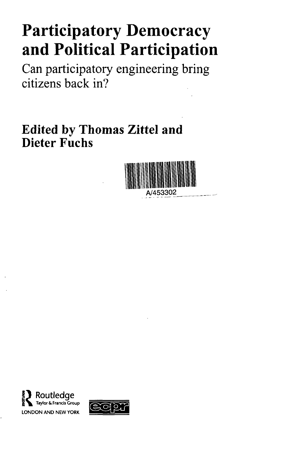## **Participatory Democracy and Political Participation**

Can participatory engineering bring citizens back in?

**Edited by Thomas Zittel and Dieter Fuchs**





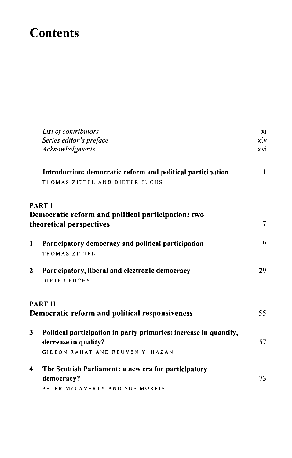## **Contents**

l,

 $\bar{1}$ 

 $\bar{\bar{z}}$ 

|   | List of contributors                                              | xi  |
|---|-------------------------------------------------------------------|-----|
|   | Series editor's preface                                           | xiv |
|   | Acknowledgments                                                   | xvi |
|   | Introduction: democratic reform and political participation       | 1   |
|   | THOMAS ZITTEL AND DIETER FUCHS                                    |     |
|   | <b>PART I</b>                                                     |     |
|   | Democratic reform and political participation: two                |     |
|   | theoretical perspectives                                          | 7   |
| 1 | Participatory democracy and political participation               | 9   |
|   | THOMAS ZITTEL                                                     |     |
| 2 | Participatory, liberal and electronic democracy                   | 29  |
|   | DIETER FUCHS                                                      |     |
|   | <b>PART II</b>                                                    |     |
|   | Democratic reform and political responsiveness                    | 55  |
| 3 | Political participation in party primaries: increase in quantity, |     |
|   | decrease in quality?                                              | 57  |
|   | GIDEON RAHAT AND REUVEN Y. HAZAN                                  |     |
| 4 | The Scottish Parliament: a new era for participatory              |     |
|   | democracy?                                                        | 73  |
|   | PETER MCLAVERTY AND SUE MORRIS                                    |     |